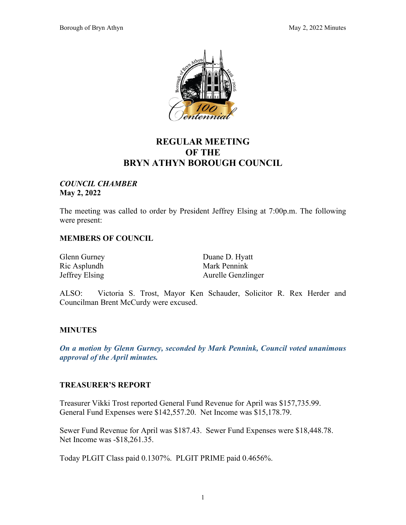

# **REGULAR MEETING OF THE BRYN ATHYN BOROUGH COUNCIL**

## *COUNCIL CHAMBER* **May 2, 2022**

The meeting was called to order by President Jeffrey Elsing at 7:00p.m. The following were present:

### **MEMBERS OF COUNCIL**

Glenn Gurney Duane D. Hyatt Ric Asplundh Mark Pennink Jeffrey Elsing **Aurelle Genzlinger** 

ALSO: Victoria S. Trost, Mayor Ken Schauder, Solicitor R. Rex Herder and Councilman Brent McCurdy were excused.

### **MINUTES**

*On a motion by Glenn Gurney, seconded by Mark Pennink, Council voted unanimous approval of the April minutes.*

### **TREASURER'S REPORT**

Treasurer Vikki Trost reported General Fund Revenue for April was \$157,735.99. General Fund Expenses were \$142,557.20. Net Income was \$15,178.79.

Sewer Fund Revenue for April was \$187.43. Sewer Fund Expenses were \$18,448.78. Net Income was -\$18,261.35.

Today PLGIT Class paid 0.1307%. PLGIT PRIME paid 0.4656%.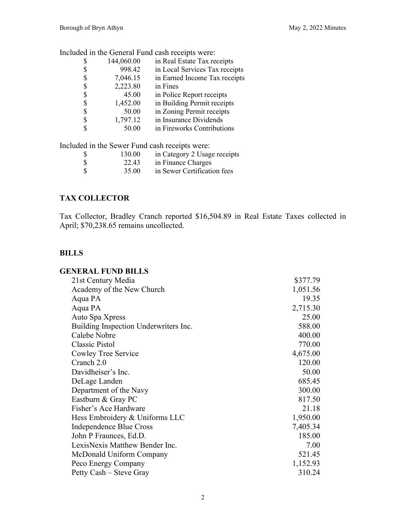Included in the General Fund cash receipts were:

| \$<br>144,060.00 | in Real Estate Tax receipts    |
|------------------|--------------------------------|
| \$<br>998.42     | in Local Services Tax receipts |
| \$<br>7,046.15   | in Earned Income Tax receipts  |
| \$<br>2,223.80   | in Fines                       |
| \$<br>45.00      | in Police Report receipts      |
| \$<br>1,452.00   | in Building Permit receipts    |
| \$<br>50.00      | in Zoning Permit receipts      |
| \$<br>1,797.12   | in Insurance Dividends         |
| \$<br>50.00      | in Fireworks Contributions     |
|                  |                                |

Included in the Sewer Fund cash receipts were:

| - S | 130.00 | in Category 2 Usage receipts |
|-----|--------|------------------------------|
| - S | 22.43  | in Finance Charges           |
| - S | 35.00  | in Sewer Certification fees  |

# **TAX COLLECTOR**

Tax Collector, Bradley Cranch reported \$16,504.89 in Real Estate Taxes collected in April; \$70,238.65 remains uncollected.

## **BILLS**

| <b>GENERAL FUND BILLS</b>             |          |
|---------------------------------------|----------|
| 21st Century Media                    | \$377.79 |
| Academy of the New Church             | 1,051.56 |
| Aqua PA                               | 19.35    |
| Aqua PA                               | 2,715.30 |
| Auto Spa Xpress                       | 25.00    |
| Building Inspection Underwriters Inc. | 588.00   |
| Calebe Nobre                          | 400.00   |
| <b>Classic Pistol</b>                 | 770.00   |
| Cowley Tree Service                   | 4,675.00 |
| Cranch 2.0                            | 120.00   |
| Davidheiser's Inc.                    | 50.00    |
| DeLage Landen                         | 685.45   |
| Department of the Navy                | 300.00   |
| Eastburn & Gray PC                    | 817.50   |
| Fisher's Ace Hardware                 | 21.18    |
| Hess Embroidery & Uniforms LLC        | 1,950.00 |
| Independence Blue Cross               | 7,405.34 |
| John P Fraunces, Ed.D.                | 185.00   |
| LexisNexis Matthew Bender Inc.        | 7.00     |
| McDonald Uniform Company              | 521.45   |
| Peco Energy Company                   | 1,152.93 |
| Petty Cash – Steve Gray               | 310.24   |
|                                       |          |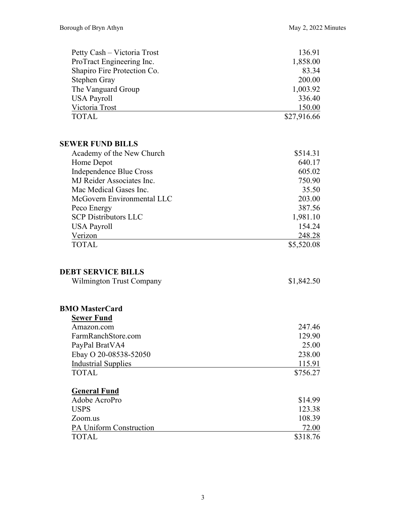| Petty Cash - Victoria Trost  | 136.91           |
|------------------------------|------------------|
| ProTract Engineering Inc.    | 1,858.00         |
| Shapiro Fire Protection Co.  | 83.34            |
| Stephen Gray                 | 200.00           |
| The Vanguard Group           | 1,003.92         |
| <b>USA Payroll</b>           | 336.40           |
| Victoria Trost               | <u>150.00</u>    |
| <b>TOTAL</b>                 | \$27,916.66      |
| <b>SEWER FUND BILLS</b>      |                  |
| Academy of the New Church    | \$514.31         |
| Home Depot                   | 640.17           |
| Independence Blue Cross      | 605.02           |
| MJ Reider Associates Inc.    | 750.90           |
| Mac Medical Gases Inc.       | 35.50            |
| McGovern Environmental LLC   | 203.00           |
| Peco Energy                  | 387.56           |
| <b>SCP Distributors LLC</b>  | 1,981.10         |
| <b>USA Payroll</b>           | 154.24           |
| Verizon                      | <u>248.28</u>    |
| <b>TOTAL</b>                 | \$5,520.08       |
| <b>DEBT SERVICE BILLS</b>    |                  |
| Wilmington Trust Company     | \$1,842.50       |
| <b>BMO MasterCard</b>        |                  |
| <b>Sewer Fund</b>            |                  |
| Amazon.com                   | 247.46           |
| FarmRanchStore.com           | 129.90           |
| PayPal BratVA4               | 25.00            |
| Ebay O 20-08538-52050        | 238.00           |
| <b>Industrial Supplies</b>   | 115.91           |
| <b>TOTAL</b>                 | \$756.27         |
| <b>General Fund</b>          |                  |
| Adobe AcroPro<br><b>USPS</b> | \$14.99          |
| Zoom.us                      | 123.38<br>108.39 |
| PA Uniform Construction      | 72.00            |
| <b>TOTAL</b>                 | \$318.76         |
|                              |                  |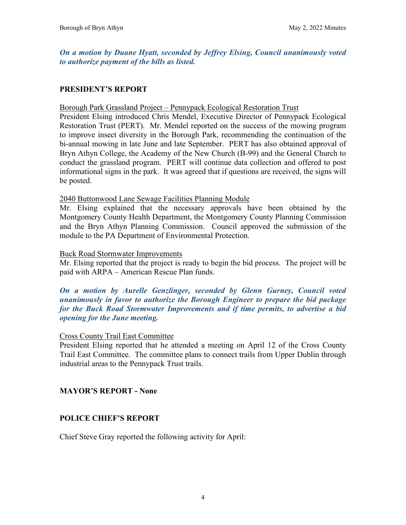### *On a motion by Duane Hyatt, seconded by Jeffrey Elsing, Council unanimously voted to authorize payment of the bills as listed.*

## **PRESIDENT'S REPORT**

### Borough Park Grassland Project – Pennypack Ecological Restoration Trust

President Elsing introduced Chris Mendel, Executive Director of Pennypack Ecological Restoration Trust (PERT). Mr. Mendel reported on the success of the mowing program to improve insect diversity in the Borough Park, recommending the continuation of the bi-annual mowing in late June and late September. PERT has also obtained approval of Bryn Athyn College, the Academy of the New Church (B-99) and the General Church to conduct the grassland program. PERT will continue data collection and offered to post informational signs in the park. It was agreed that if questions are received, the signs will be posted.

### 2040 Buttonwood Lane Sewage Facilities Planning Module

Mr. Elsing explained that the necessary approvals have been obtained by the Montgomery County Health Department, the Montgomery County Planning Commission and the Bryn Athyn Planning Commission. Council approved the submission of the module to the PA Department of Environmental Protection.

#### Buck Road Stormwater Improvements

Mr. Elsing reported that the project is ready to begin the bid process. The project will be paid with ARPA – American Rescue Plan funds.

### *On a motion by Aurelle Genzlinger, seconded by Glenn Gurney, Council voted unanimously in favor to authorize the Borough Engineer to prepare the bid package for the Buck Road Stormwater Improvements and if time permits, to advertise a bid opening for the June meeting.*

#### Cross County Trail East Committee

President Elsing reported that he attended a meeting on April 12 of the Cross County Trail East Committee. The committee plans to connect trails from Upper Dublin through industrial areas to the Pennypack Trust trails.

### **MAYOR'S REPORT - None**

### **POLICE CHIEF'S REPORT**

Chief Steve Gray reported the following activity for April: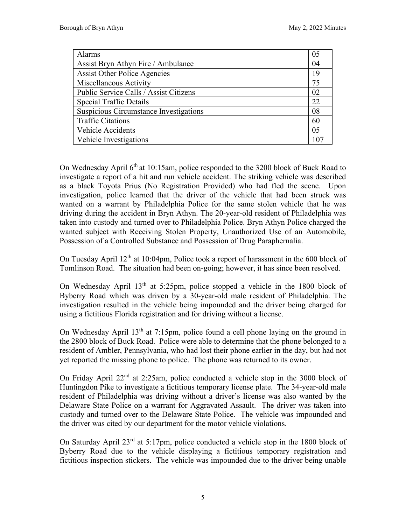| Alarms                                 | 05  |
|----------------------------------------|-----|
| Assist Bryn Athyn Fire / Ambulance     |     |
| <b>Assist Other Police Agencies</b>    |     |
| Miscellaneous Activity                 | 75  |
| Public Service Calls / Assist Citizens | 02  |
| <b>Special Traffic Details</b>         | 22  |
| Suspicious Circumstance Investigations | 08  |
| <b>Traffic Citations</b>               | 60  |
| Vehicle Accidents                      | 05  |
| Vehicle Investigations                 | 10′ |

On Wednesday April 6<sup>th</sup> at 10:15am, police responded to the 3200 block of Buck Road to investigate a report of a hit and run vehicle accident. The striking vehicle was described as a black Toyota Prius (No Registration Provided) who had fled the scene. Upon investigation, police learned that the driver of the vehicle that had been struck was wanted on a warrant by Philadelphia Police for the same stolen vehicle that he was driving during the accident in Bryn Athyn. The 20-year-old resident of Philadelphia was taken into custody and turned over to Philadelphia Police. Bryn Athyn Police charged the wanted subject with Receiving Stolen Property, Unauthorized Use of an Automobile, Possession of a Controlled Substance and Possession of Drug Paraphernalia.

On Tuesday April 12th at 10:04pm, Police took a report of harassment in the 600 block of Tomlinson Road. The situation had been on-going; however, it has since been resolved.

On Wednesday April  $13<sup>th</sup>$  at 5:25pm, police stopped a vehicle in the 1800 block of Byberry Road which was driven by a 30-year-old male resident of Philadelphia. The investigation resulted in the vehicle being impounded and the driver being charged for using a fictitious Florida registration and for driving without a license.

On Wednesday April 13th at 7:15pm, police found a cell phone laying on the ground in the 2800 block of Buck Road. Police were able to determine that the phone belonged to a resident of Ambler, Pennsylvania, who had lost their phone earlier in the day, but had not yet reported the missing phone to police. The phone was returned to its owner.

On Friday April  $22^{nd}$  at 2:25am, police conducted a vehicle stop in the 3000 block of Huntingdon Pike to investigate a fictitious temporary license plate. The 34-year-old male resident of Philadelphia was driving without a driver's license was also wanted by the Delaware State Police on a warrant for Aggravated Assault. The driver was taken into custody and turned over to the Delaware State Police. The vehicle was impounded and the driver was cited by our department for the motor vehicle violations.

On Saturday April 23rd at 5:17pm, police conducted a vehicle stop in the 1800 block of Byberry Road due to the vehicle displaying a fictitious temporary registration and fictitious inspection stickers. The vehicle was impounded due to the driver being unable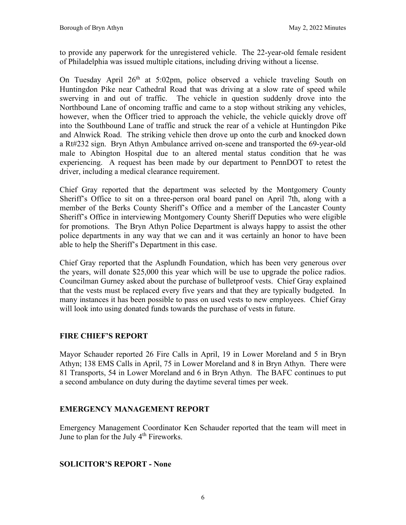to provide any paperwork for the unregistered vehicle. The 22-year-old female resident of Philadelphia was issued multiple citations, including driving without a license.

On Tuesday April 26<sup>th</sup> at 5:02pm, police observed a vehicle traveling South on Huntingdon Pike near Cathedral Road that was driving at a slow rate of speed while swerving in and out of traffic. The vehicle in question suddenly drove into the Northbound Lane of oncoming traffic and came to a stop without striking any vehicles, however, when the Officer tried to approach the vehicle, the vehicle quickly drove off into the Southbound Lane of traffic and struck the rear of a vehicle at Huntingdon Pike and Alnwick Road. The striking vehicle then drove up onto the curb and knocked down a Rt#232 sign. Bryn Athyn Ambulance arrived on-scene and transported the 69-year-old male to Abington Hospital due to an altered mental status condition that he was experiencing. A request has been made by our department to PennDOT to retest the driver, including a medical clearance requirement.

Chief Gray reported that the department was selected by the Montgomery County Sheriff's Office to sit on a three-person oral board panel on April 7th, along with a member of the Berks County Sheriff's Office and a member of the Lancaster County Sheriff's Office in interviewing Montgomery County Sheriff Deputies who were eligible for promotions. The Bryn Athyn Police Department is always happy to assist the other police departments in any way that we can and it was certainly an honor to have been able to help the Sheriff's Department in this case.

Chief Gray reported that the Asplundh Foundation, which has been very generous over the years, will donate \$25,000 this year which will be use to upgrade the police radios. Councilman Gurney asked about the purchase of bulletproof vests. Chief Gray explained that the vests must be replaced every five years and that they are typically budgeted. In many instances it has been possible to pass on used vests to new employees. Chief Gray will look into using donated funds towards the purchase of vests in future.

# **FIRE CHIEF'S REPORT**

Mayor Schauder reported 26 Fire Calls in April, 19 in Lower Moreland and 5 in Bryn Athyn; 138 EMS Calls in April, 75 in Lower Moreland and 8 in Bryn Athyn. There were 81 Transports, 54 in Lower Moreland and 6 in Bryn Athyn. The BAFC continues to put a second ambulance on duty during the daytime several times per week.

## **EMERGENCY MANAGEMENT REPORT**

Emergency Management Coordinator Ken Schauder reported that the team will meet in June to plan for the July  $4<sup>th</sup>$  Fireworks.

## **SOLICITOR'S REPORT - None**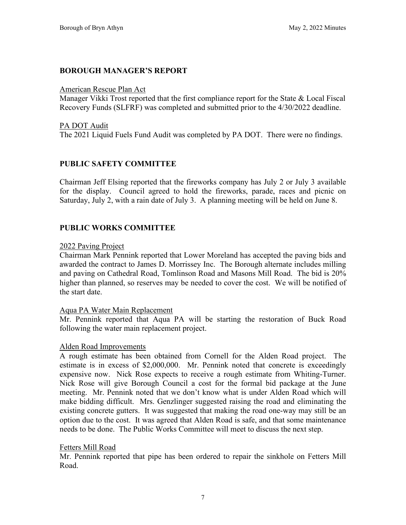## **BOROUGH MANAGER'S REPORT**

#### American Rescue Plan Act

Manager Vikki Trost reported that the first compliance report for the State & Local Fiscal Recovery Funds (SLFRF) was completed and submitted prior to the 4/30/2022 deadline.

PA DOT Audit The 2021 Liquid Fuels Fund Audit was completed by PA DOT. There were no findings.

## **PUBLIC SAFETY COMMITTEE**

Chairman Jeff Elsing reported that the fireworks company has July 2 or July 3 available for the display. Council agreed to hold the fireworks, parade, races and picnic on Saturday, July 2, with a rain date of July 3. A planning meeting will be held on June 8.

## **PUBLIC WORKS COMMITTEE**

### 2022 Paving Project

Chairman Mark Pennink reported that Lower Moreland has accepted the paving bids and awarded the contract to James D. Morrissey Inc. The Borough alternate includes milling and paving on Cathedral Road, Tomlinson Road and Masons Mill Road. The bid is 20% higher than planned, so reserves may be needed to cover the cost. We will be notified of the start date.

### Aqua PA Water Main Replacement

Mr. Pennink reported that Aqua PA will be starting the restoration of Buck Road following the water main replacement project.

### Alden Road Improvements

A rough estimate has been obtained from Cornell for the Alden Road project. The estimate is in excess of \$2,000,000. Mr. Pennink noted that concrete is exceedingly expensive now. Nick Rose expects to receive a rough estimate from Whiting-Turner. Nick Rose will give Borough Council a cost for the formal bid package at the June meeting. Mr. Pennink noted that we don't know what is under Alden Road which will make bidding difficult. Mrs. Genzlinger suggested raising the road and eliminating the existing concrete gutters. It was suggested that making the road one-way may still be an option due to the cost. It was agreed that Alden Road is safe, and that some maintenance needs to be done. The Public Works Committee will meet to discuss the next step.

### Fetters Mill Road

Mr. Pennink reported that pipe has been ordered to repair the sinkhole on Fetters Mill Road.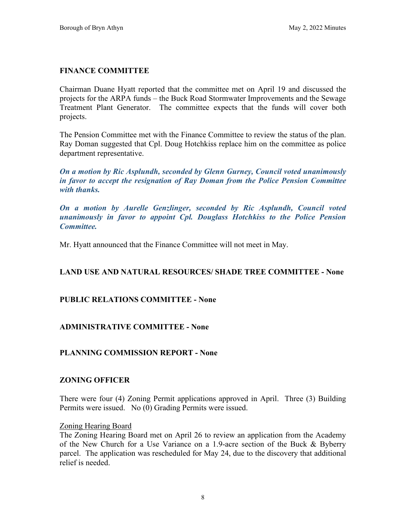## **FINANCE COMMITTEE**

Chairman Duane Hyatt reported that the committee met on April 19 and discussed the projects for the ARPA funds – the Buck Road Stormwater Improvements and the Sewage Treatment Plant Generator. The committee expects that the funds will cover both projects.

The Pension Committee met with the Finance Committee to review the status of the plan. Ray Doman suggested that Cpl. Doug Hotchkiss replace him on the committee as police department representative.

*On a motion by Ric Asplundh, seconded by Glenn Gurney, Council voted unanimously in favor to accept the resignation of Ray Doman from the Police Pension Committee with thanks.*

*On a motion by Aurelle Genzlinger, seconded by Ric Asplundh, Council voted unanimously in favor to appoint Cpl. Douglass Hotchkiss to the Police Pension Committee.*

Mr. Hyatt announced that the Finance Committee will not meet in May.

## **LAND USE AND NATURAL RESOURCES/ SHADE TREE COMMITTEE - None**

## **PUBLIC RELATIONS COMMITTEE - None**

## **ADMINISTRATIVE COMMITTEE - None**

## **PLANNING COMMISSION REPORT - None**

## **ZONING OFFICER**

There were four (4) Zoning Permit applications approved in April. Three (3) Building Permits were issued. No (0) Grading Permits were issued.

### Zoning Hearing Board

The Zoning Hearing Board met on April 26 to review an application from the Academy of the New Church for a Use Variance on a 1.9-acre section of the Buck & Byberry parcel. The application was rescheduled for May 24, due to the discovery that additional relief is needed.